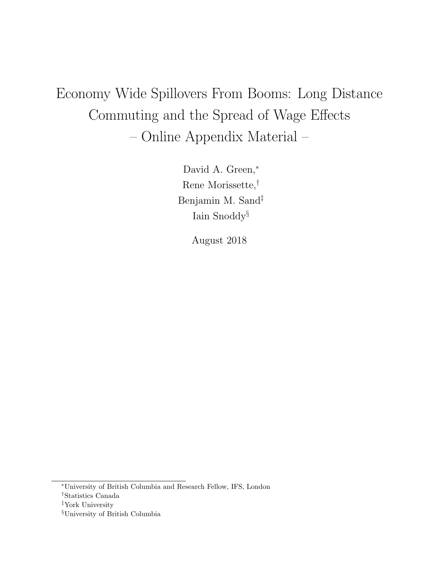# Economy Wide Spillovers From Booms: Long Distance Commuting and the Spread of Wage Effects – Online Appendix Material –

David A. Green,<sup>∗</sup> Rene Morissette,† Benjamin M. Sand‡ Iain Snoddy§

August 2018

<sup>∗</sup>University of British Columbia and Research Fellow, IFS, London

<sup>†</sup>Statistics Canada

<sup>‡</sup>York University

<sup>§</sup>University of British Columbia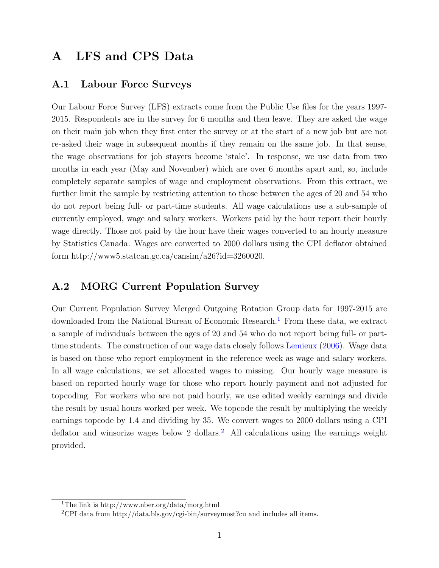### A LFS and CPS Data

### A.1 Labour Force Surveys

Our Labour Force Survey (LFS) extracts come from the Public Use files for the years 1997- 2015. Respondents are in the survey for 6 months and then leave. They are asked the wage on their main job when they first enter the survey or at the start of a new job but are not re-asked their wage in subsequent months if they remain on the same job. In that sense, the wage observations for job stayers become 'stale'. In response, we use data from two months in each year (May and November) which are over 6 months apart and, so, include completely separate samples of wage and employment observations. From this extract, we further limit the sample by restricting attention to those between the ages of 20 and 54 who do not report being full- or part-time students. All wage calculations use a sub-sample of currently employed, wage and salary workers. Workers paid by the hour report their hourly wage directly. Those not paid by the hour have their wages converted to an hourly measure by Statistics Canada. Wages are converted to 2000 dollars using the CPI deflator obtained form http://www5.statcan.gc.ca/cansim/a26?id=3260020.

### A.2 MORG Current Population Survey

Our Current Population Survey Merged Outgoing Rotation Group data for 1997-2015 are downloaded from the National Bureau of Economic Research.<sup>[1](#page-1-0)</sup> From these data, we extract a sample of individuals between the ages of 20 and 54 who do not report being full- or parttime students. The construction of our wage data closely follows [Lemieux](#page-29-0) [\(2006\)](#page-29-0). Wage data is based on those who report employment in the reference week as wage and salary workers. In all wage calculations, we set allocated wages to missing. Our hourly wage measure is based on reported hourly wage for those who report hourly payment and not adjusted for topcoding. For workers who are not paid hourly, we use edited weekly earnings and divide the result by usual hours worked per week. We topcode the result by multiplying the weekly earnings topcode by 1.4 and dividing by 35. We convert wages to 2000 dollars using a CPI deflator and winsorize wages below [2](#page-1-1) dollars.<sup>2</sup> All calculations using the earnings weight provided.

<span id="page-1-0"></span><sup>1</sup>The link is http://www.nber.org/data/morg.html

<span id="page-1-1"></span><sup>&</sup>lt;sup>2</sup>CPI data from http://data.bls.gov/cgi-bin/surveymost?cu and includes all items.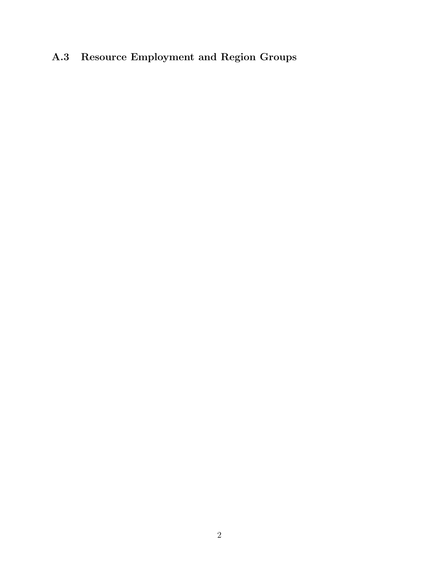## A.3 Resource Employment and Region Groups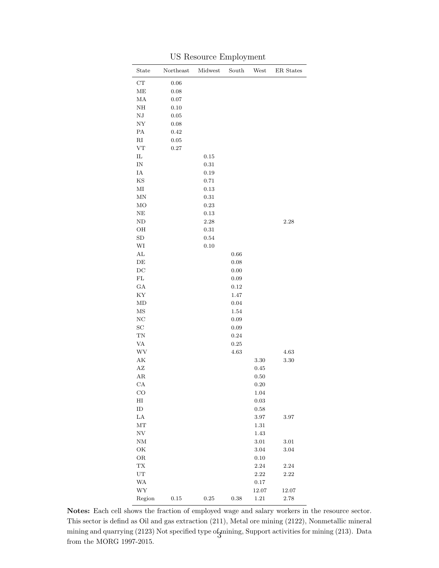| State                    | Northeast | Midwest    | South      | West       | ER States |
|--------------------------|-----------|------------|------------|------------|-----------|
| ${\rm CT}$               | $0.06\,$  |            |            |            |           |
| $\operatorname{ME}$      | 0.08      |            |            |            |           |
| MA                       | 0.07      |            |            |            |           |
| NH                       | 0.10      |            |            |            |           |
| $_{\rm NJ}$              | $0.05\,$  |            |            |            |           |
| ${\rm NY}$               | 0.08      |            |            |            |           |
| PA                       | 0.42      |            |            |            |           |
| $\rm RI$                 | $0.05\,$  |            |            |            |           |
| VT                       | 0.27      |            |            |            |           |
| ${\rm IL}$               |           | 0.15       |            |            |           |
| $\ensuremath{\text{IN}}$ |           | $\rm 0.31$ |            |            |           |
| ΙA                       |           | $0.19\,$   |            |            |           |
| KS                       |           | 0.71       |            |            |           |
| $\rm MI$                 |           | $\rm 0.13$ |            |            |           |
| $\operatorname{MN}$      |           | 0.31       |            |            |           |
| MO                       |           | 0.23       |            |            |           |
| NE                       |           | 0.13       |            |            |           |
| ND                       |           | $2.28\,$   |            |            | 2.28      |
| OH                       |           | 0.31       |            |            |           |
| ${\rm SD}$               |           | $\rm 0.54$ |            |            |           |
| WI                       |           | $0.10\,$   |            |            |           |
| AL                       |           |            | 0.66       |            |           |
| DE                       |           |            | $0.08\,$   |            |           |
| $\operatorname{DC}$      |           |            | $0.00\,$   |            |           |
| FL                       |           |            | $0.09\,$   |            |           |
| GA                       |           |            | $0.12\,$   |            |           |
| KY                       |           |            | 1.47       |            |           |
| MD                       |           |            | $0.04\,$   |            |           |
| $\rm{MS}$                |           |            | 1.54       |            |           |
| NC                       |           |            | $0.09\,$   |            |           |
| SC                       |           |            | 0.09       |            |           |
| ${\rm TN}$               |           |            | $\rm 0.24$ |            |           |
| VA                       |           |            | $\rm 0.25$ |            |           |
| WV                       |           |            | 4.63       |            | 4.63      |
| AK                       |           |            |            | 3.30       | 3.30      |
| $\rm AZ$                 |           |            |            | 0.45       |           |
| AR                       |           |            |            | 0.50       |           |
| CA                       |           |            |            | $0.20\,$   |           |
| $_{\rm CO}$              |           |            |            | 1.04       |           |
| $\rm HI$                 |           |            |            | $\rm 0.03$ |           |
| ${\rm ID}$               |           |            |            | 0.58       |           |
| $_{\rm LA}$              |           |            |            | $3.97\,$   | 3.97      |
| $\rm{MT}$                |           |            |            | 1.31       |           |
| ${\rm NV}$               |           |            |            | 1.43       |           |
| $\mathrm{NM}$            |           |            |            | $3.01\,$   | 3.01      |
| OK                       |           |            |            | $3.04\,$   | $3.04\,$  |
| $\rm OR$                 |           |            |            | $0.10\,$   |           |
| ${\rm TX}$               |           |            |            | $2.24\,$   | 2.24      |
| ${\rm UT}$               |           |            |            | $2.22\,$   | 2.22      |
| <b>WA</b>                |           |            |            | 0.17       |           |
| ${\hbox{WY}}$            |           |            |            | 12.07      | $12.07\,$ |
| Region                   | $0.15\,$  | $0.25\,$   | $\rm 0.38$ | $1.21\,$   | $2.78\,$  |

US Resource Employment

Notes: Each cell shows the fraction of employed wage and salary workers in the resource sector. This sector is defind as Oil and gas extraction (211), Metal ore mining (2122), Nonmetallic mineral mining and quarrying (2123) Not specified type of mining, Support activities for mining (213). Data from the MORG 1997-2015.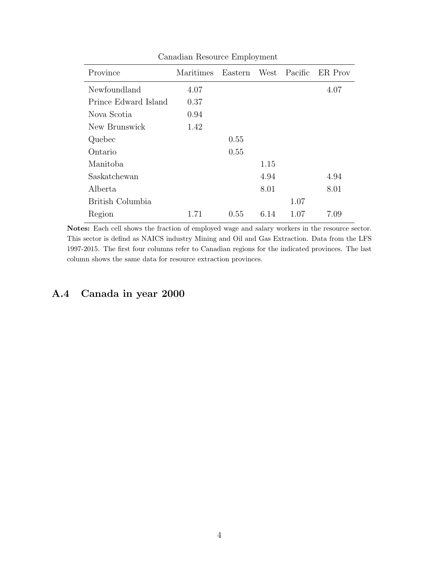| Province             | Maritimes | Eastern | West | Pacific | ER Prov |
|----------------------|-----------|---------|------|---------|---------|
| Newfoundland         | 4.07      |         |      |         | 4.07    |
| Prince Edward Island | 0.37      |         |      |         |         |
| Nova Scotia          | 0.94      |         |      |         |         |
| New Brunswick        | 1.42      |         |      |         |         |
| Quebec               |           | 0.55    |      |         |         |
| Ontario              |           | 0.55    |      |         |         |
| Manitoba             |           |         | 1.15 |         |         |
| Saskatchewan         |           |         | 4.94 |         | 4.94    |
| Alberta              |           |         | 8.01 |         | 8.01    |
| British Columbia     |           |         |      | 1.07    |         |
| Region               | 1.71      | 0.55    | 6.14 | 1.07    | 7.09    |

Canadian Resource Employment

Notes: Each cell shows the fraction of employed wage and salary workers in the resource sector. This sector is defind as NAICS industry Mining and Oil and Gas Extraction. Data from the LFS 1997-2015. The first four columns refer to Canadian regions for the indicated provinces. The last

### A.4 Canada in year 2000

column shows the same data for resource extraction provinces.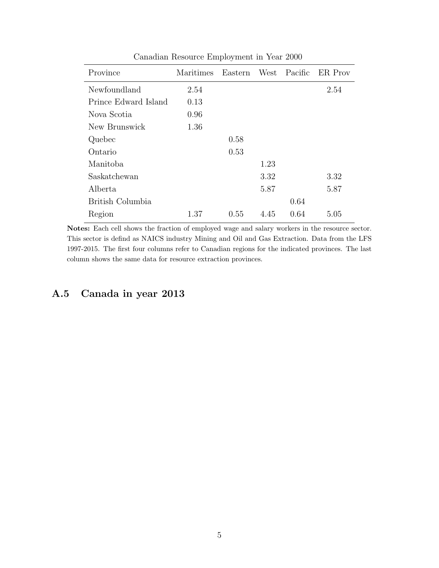| Province             | Maritimes | Eastern | West | Pacific | ER Prov |
|----------------------|-----------|---------|------|---------|---------|
| Newfoundland         | 2.54      |         |      |         | 2.54    |
| Prince Edward Island | 0.13      |         |      |         |         |
| Nova Scotia          | 0.96      |         |      |         |         |
| New Brunswick        | 1.36      |         |      |         |         |
| Quebec               |           | 0.58    |      |         |         |
| Ontario              |           | 0.53    |      |         |         |
| Manitoba             |           |         | 1.23 |         |         |
| Saskatchewan         |           |         | 3.32 |         | 3.32    |
| Alberta              |           |         | 5.87 |         | 5.87    |
| British Columbia     |           |         |      | 0.64    |         |
| Region               | 1.37      | 0.55    | 4.45 | 0.64    | 5.05    |

Canadian Resource Employment in Year 2000

Notes: Each cell shows the fraction of employed wage and salary workers in the resource sector. This sector is defind as NAICS industry Mining and Oil and Gas Extraction. Data from the LFS 1997-2015. The first four columns refer to Canadian regions for the indicated provinces. The last column shows the same data for resource extraction provinces.

### A.5 Canada in year 2013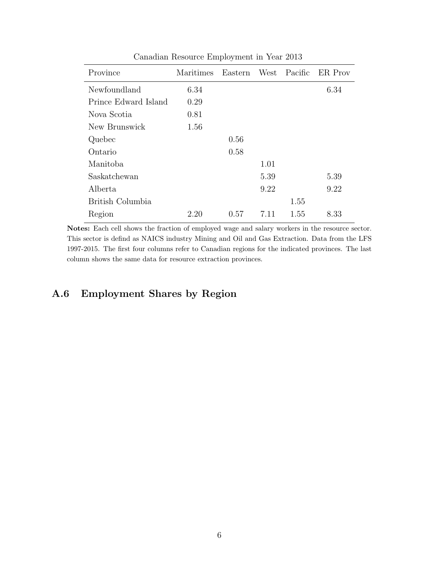| Province             | Maritimes | Eastern | West | Pacific | ER Prov |
|----------------------|-----------|---------|------|---------|---------|
| Newfoundland         | 6.34      |         |      |         | 6.34    |
| Prince Edward Island | 0.29      |         |      |         |         |
| Nova Scotia          | 0.81      |         |      |         |         |
| New Brunswick        | 1.56      |         |      |         |         |
| Quebec               |           | 0.56    |      |         |         |
| Ontario              |           | 0.58    |      |         |         |
| Manitoba             |           |         | 1.01 |         |         |
| Saskatchewan         |           |         | 5.39 |         | 5.39    |
| Alberta              |           |         | 9.22 |         | 9.22    |
| British Columbia     |           |         |      | 1.55    |         |
| Region               | 2.20      | 0.57    | 7.11 | 1.55    | 8.33    |

Canadian Resource Employment in Year 2013

Notes: Each cell shows the fraction of employed wage and salary workers in the resource sector. This sector is defind as NAICS industry Mining and Oil and Gas Extraction. Data from the LFS 1997-2015. The first four columns refer to Canadian regions for the indicated provinces. The last column shows the same data for resource extraction provinces.

### A.6 Employment Shares by Region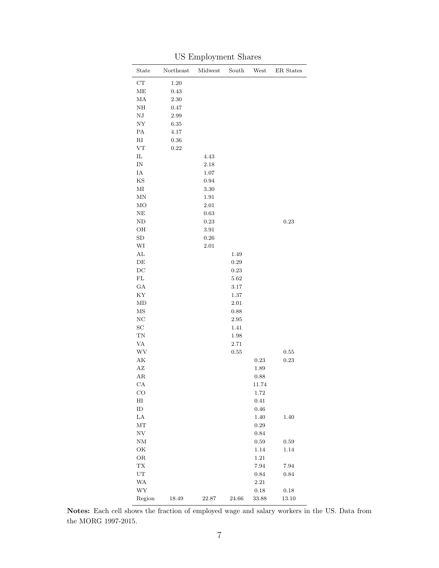| State                                        | Northeast | Midwest    | South      | West       | ER States  |
|----------------------------------------------|-----------|------------|------------|------------|------------|
| ${\rm CT}$                                   | $1.20\,$  |            |            |            |            |
| ME                                           | $0.43\,$  |            |            |            |            |
| MA                                           | $2.30\,$  |            |            |            |            |
| NH                                           | 0.47      |            |            |            |            |
| ${\rm N}{\rm J}$                             | 2.99      |            |            |            |            |
| ${\rm NY}$                                   | 6.35      |            |            |            |            |
| PA                                           | 4.17      |            |            |            |            |
| $\rm RI$                                     | $0.36\,$  |            |            |            |            |
| ${\rm VT}$                                   | 0.22      |            |            |            |            |
| IL                                           |           | 4.43       |            |            |            |
| $\ensuremath{\text{IN}}$                     |           | 2.18       |            |            |            |
| $\rm IA$                                     |           | $1.07\,$   |            |            |            |
| KS                                           |           | 0.94       |            |            |            |
| $\rm MI$                                     |           | $3.30\,$   |            |            |            |
| MN                                           |           | 1.91       |            |            |            |
| MO                                           |           | 2.01       |            |            |            |
| $\rm NE$                                     |           | $\,0.63\,$ |            |            |            |
| $\rm ND$                                     |           | 0.23       |            |            | $\rm 0.23$ |
| $\rm OH$                                     |           | $3.91\,$   |            |            |            |
| ${\rm SD}$                                   |           | $\rm 0.26$ |            |            |            |
| WI                                           |           | $2.01\,$   |            |            |            |
| $\mathbf{AL}$                                |           |            | 1.49       |            |            |
| DE                                           |           |            | $\rm 0.29$ |            |            |
| DC                                           |           |            | $\rm 0.23$ |            |            |
| $\rm FL$                                     |           |            | 5.62       |            |            |
| $_{\mathrm{GA}}$                             |           |            | 3.17       |            |            |
| ΚY                                           |           |            | 1.37       |            |            |
| MD                                           |           |            | 2.01       |            |            |
| $_{\rm MS}$                                  |           |            | 0.88       |            |            |
| NC                                           |           |            | 2.95       |            |            |
| $\operatorname{SC}$                          |           |            | 1.41       |            |            |
| ${\rm TN}$                                   |           |            | 1.98       |            |            |
| $\ensuremath{\text{VA}}\xspace$              |           |            | $2.71\,$   |            |            |
| $\ensuremath{\text{W}}\ensuremath{\text{V}}$ |           |            | $\rm 0.55$ |            | 0.55       |
| $\mathbf{A}\mathbf{K}$                       |           |            |            | 0.23       | $\rm 0.23$ |
| AZ                                           |           |            |            | 1.89       |            |
| AR                                           |           |            |            | 0.88       |            |
| $_{\rm CA}$                                  |           |            |            | 11.74      |            |
| $_{\rm CO}$                                  |           |            |            | 1.72       |            |
| $\rm HI$                                     |           |            |            | $0.41\,$   |            |
| ${\rm ID}$                                   |           |            |            | $0.46\,$   |            |
| LA                                           |           |            |            | 1.40       | 1.40       |
| MT                                           |           |            |            | 0.29       |            |
| $_{\mathrm{NV}}$                             |           |            |            | 0.84       |            |
| $\mathrm{NM}$                                |           |            |            | 0.59       | 0.59       |
| OK                                           |           |            |            | 1.14       | 1.14       |
| $\rm OR$                                     |           |            |            | $1.21\,$   |            |
| TX                                           |           |            |            | 7.94       | 7.94       |
| $\mathop{\rm UT}\nolimits$                   |           |            |            | $\rm 0.84$ | $\rm 0.84$ |
| WA                                           |           |            |            | 2.21       |            |
| ${\hbox{WY}}$                                |           |            |            | 0.18       | 0.18       |
| Region                                       | 18.49     | 22.87      | 24.66      | 33.88      | 13.10      |

US Employment Shares

Notes: Each cell shows the fraction of employed wage and salary workers in the US. Data from the MORG 1997-2015.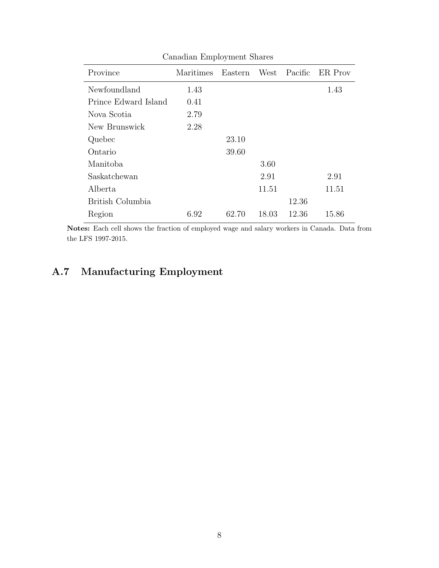| Canadian Employment Shares |           |         |       |         |         |  |
|----------------------------|-----------|---------|-------|---------|---------|--|
| Province                   | Maritimes | Eastern | West  | Pacific | ER Prov |  |
| Newfoundland               | 1.43      |         |       |         | 1.43    |  |
| Prince Edward Island       | 0.41      |         |       |         |         |  |
| Nova Scotia                | 2.79      |         |       |         |         |  |
| New Brunswick              | 2.28      |         |       |         |         |  |
| Quebec                     |           | 23.10   |       |         |         |  |
| Ontario                    |           | 39.60   |       |         |         |  |
| Manitoba                   |           |         | 3.60  |         |         |  |
| Saskatchewan               |           |         | 2.91  |         | 2.91    |  |
| Alberta                    |           |         | 11.51 |         | 11.51   |  |
| British Columbia           |           |         |       | 12.36   |         |  |
| Region                     | 6.92      | 62.70   | 18.03 | 12.36   | 15.86   |  |

Notes: Each cell shows the fraction of employed wage and salary workers in Canada. Data from the LFS 1997-2015.

### A.7 Manufacturing Employment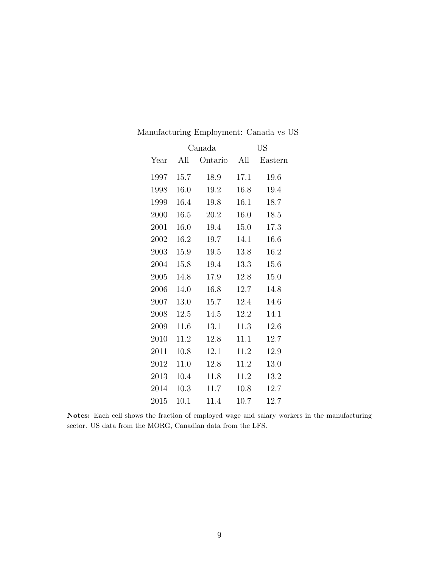|      |      | Canada  |      | US      |
|------|------|---------|------|---------|
| Year | All  | Ontario | All  | Eastern |
| 1997 | 15.7 | 18.9    | 17.1 | 19.6    |
| 1998 | 16.0 | 19.2    | 16.8 | 19.4    |
| 1999 | 16.4 | 19.8    | 16.1 | 18.7    |
| 2000 | 16.5 | 20.2    | 16.0 | 18.5    |
| 2001 | 16.0 | 19.4    | 15.0 | 17.3    |
| 2002 | 16.2 | 19.7    | 14.1 | 16.6    |
| 2003 | 15.9 | 19.5    | 13.8 | 16.2    |
| 2004 | 15.8 | 19.4    | 13.3 | 15.6    |
| 2005 | 14.8 | 17.9    | 12.8 | 15.0    |
| 2006 | 14.0 | 16.8    | 12.7 | 14.8    |
| 2007 | 13.0 | 15.7    | 12.4 | 14.6    |
| 2008 | 12.5 | 14.5    | 12.2 | 14.1    |
| 2009 | 11.6 | 13.1    | 11.3 | 12.6    |
| 2010 | 11.2 | 12.8    | 11.1 | 12.7    |
| 2011 | 10.8 | 12.1    | 11.2 | 12.9    |
| 2012 | 11.0 | 12.8    | 11.2 | 13.0    |
| 2013 | 10.4 | 11.8    | 11.2 | 13.2    |
| 2014 | 10.3 | 11.7    | 10.8 | 12.7    |
| 2015 | 10.1 | 11.4    | 10.7 | 12.7    |

Manufacturing Employment: Canada vs US

Notes: Each cell shows the fraction of employed wage and salary workers in the manufacturing sector. US data from the MORG, Canadian data from the LFS.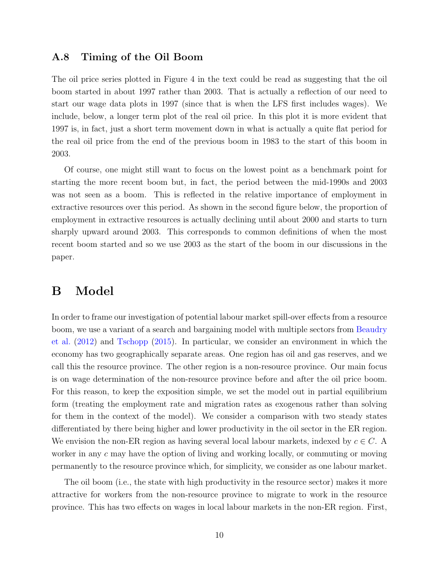#### A.8 Timing of the Oil Boom

The oil price series plotted in Figure 4 in the text could be read as suggesting that the oil boom started in about 1997 rather than 2003. That is actually a reflection of our need to start our wage data plots in 1997 (since that is when the LFS first includes wages). We include, below, a longer term plot of the real oil price. In this plot it is more evident that 1997 is, in fact, just a short term movement down in what is actually a quite flat period for the real oil price from the end of the previous boom in 1983 to the start of this boom in 2003.

Of course, one might still want to focus on the lowest point as a benchmark point for starting the more recent boom but, in fact, the period between the mid-1990s and 2003 was not seen as a boom. This is reflected in the relative importance of employment in extractive resources over this period. As shown in the second figure below, the proportion of employment in extractive resources is actually declining until about 2000 and starts to turn sharply upward around 2003. This corresponds to common definitions of when the most recent boom started and so we use 2003 as the start of the boom in our discussions in the paper.

### B Model

In order to frame our investigation of potential labour market spill-over effects from a resource boom, we use a variant of a search and bargaining model with multiple sectors from [Beaudry](#page-27-0) [et al.](#page-27-0) [\(2012\)](#page-27-0) and [Tschopp](#page-29-1) [\(2015\)](#page-29-1). In particular, we consider an environment in which the economy has two geographically separate areas. One region has oil and gas reserves, and we call this the resource province. The other region is a non-resource province. Our main focus is on wage determination of the non-resource province before and after the oil price boom. For this reason, to keep the exposition simple, we set the model out in partial equilibrium form (treating the employment rate and migration rates as exogenous rather than solving for them in the context of the model). We consider a comparison with two steady states differentiated by there being higher and lower productivity in the oil sector in the ER region. We envision the non-ER region as having several local labour markets, indexed by  $c \in C$ . A worker in any c may have the option of living and working locally, or commuting or moving permanently to the resource province which, for simplicity, we consider as one labour market.

The oil boom (i.e., the state with high productivity in the resource sector) makes it more attractive for workers from the non-resource province to migrate to work in the resource province. This has two effects on wages in local labour markets in the non-ER region. First,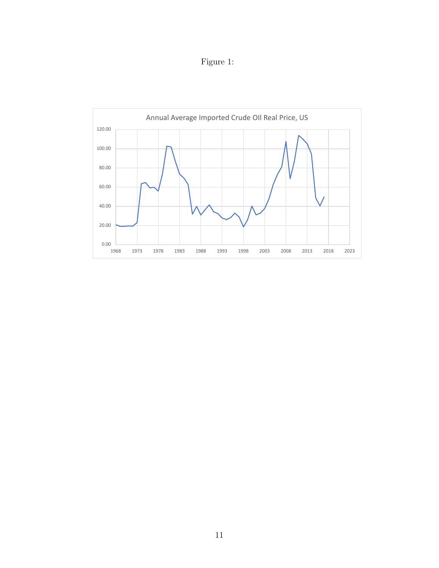Figure 1:

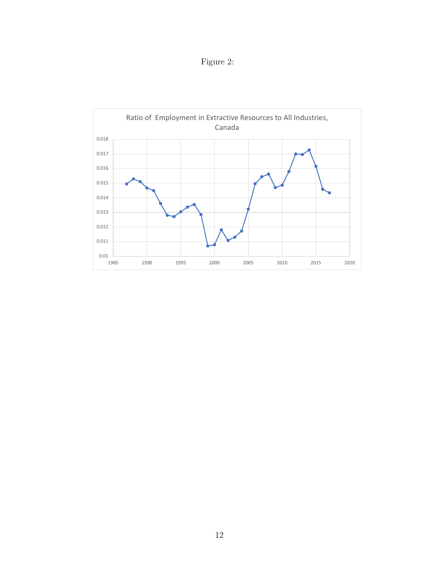Figure 2:

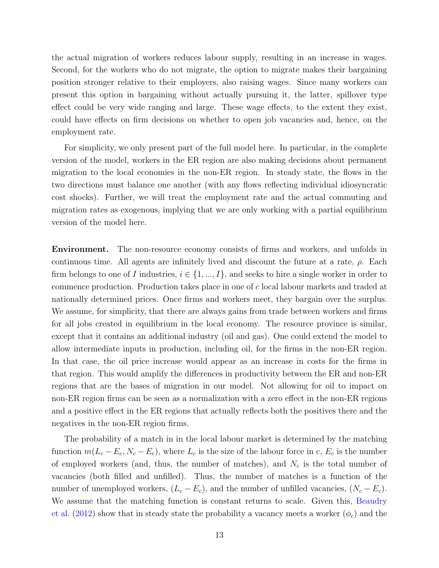the actual migration of workers reduces labour supply, resulting in an increase in wages. Second, for the workers who do not migrate, the option to migrate makes their bargaining position stronger relative to their employers, also raising wages. Since many workers can present this option in bargaining without actually pursuing it, the latter, spillover type effect could be very wide ranging and large. These wage effects, to the extent they exist, could have effects on firm decisions on whether to open job vacancies and, hence, on the employment rate.

For simplicity, we only present part of the full model here. In particular, in the complete version of the model, workers in the ER region are also making decisions about permanent migration to the local economies in the non-ER region. In steady state, the flows in the two directions must balance one another (with any flows reflecting individual idiosyncratic cost shocks). Further, we will treat the employment rate and the actual commuting and migration rates as exogenous, implying that we are only working with a partial equilibrium version of the model here.

Environment. The non-resource economy consists of firms and workers, and unfolds in continuous time. All agents are infinitely lived and discount the future at a rate,  $\rho$ . Each firm belongs to one of I industries,  $i \in \{1, ..., I\}$ , and seeks to hire a single worker in order to commence production. Production takes place in one of c local labour markets and traded at nationally determined prices. Once firms and workers meet, they bargain over the surplus. We assume, for simplicity, that there are always gains from trade between workers and firms for all jobs created in equilibrium in the local economy. The resource province is similar, except that it contains an additional industry (oil and gas). One could extend the model to allow intermediate inputs in production, including oil, for the firms in the non-ER region. In that case, the oil price increase would appear as an increase in costs for the firms in that region. This would amplify the differences in productivity between the ER and non-ER regions that are the bases of migration in our model. Not allowing for oil to impact on non-ER region firms can be seen as a normalization with a zero effect in the non-ER regions and a positive effect in the ER regions that actually reflects both the positives there and the negatives in the non-ER region firms.

The probability of a match in in the local labour market is determined by the matching function  $m(L_c - E_c, N_c - E_c)$ , where  $L_c$  is the size of the labour force in c,  $E_c$  is the number of employed workers (and, thus, the number of matches), and  $N_c$  is the total number of vacancies (both filled and unfilled). Thus, the number of matches is a function of the number of unemployed workers,  $(L_c - E_c)$ , and the number of unfilled vacancies,  $(N_c - E_c)$ . We assume that the matching function is constant returns to scale. Given this, [Beaudry](#page-27-0) [et al.](#page-27-0) [\(2012\)](#page-27-0) show that in steady state the probability a vacancy meets a worker  $(\phi_c)$  and the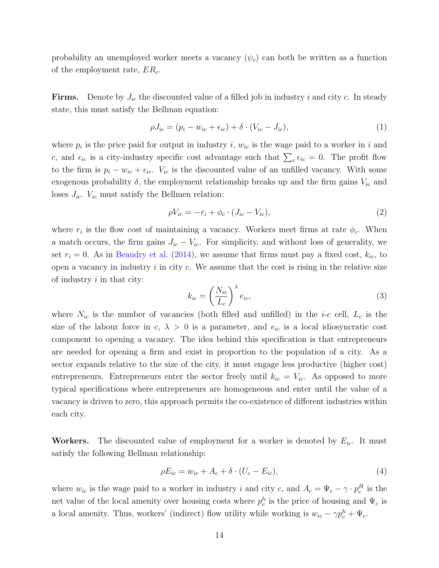probability an unemployed worker meets a vacancy  $(\psi_c)$  can both be written as a function of the employment rate,  $ER_c$ .

**Firms.** Denote by  $J_{ic}$  the discounted value of a filled job in industry i and city c. In steady state, this must satisfy the Bellman equation:

<span id="page-14-0"></span>
$$
\rho J_{ic} = (p_i - w_{ic} + \epsilon_{ic}) + \delta \cdot (V_{ic} - J_{ic}), \tag{1}
$$

where  $p_i$  is the price paid for output in industry i,  $w_{ic}$  is the wage paid to a worker in i and c, and  $\epsilon_{ic}$  is a city-industry specific cost advantage such that  $\sum_{c} \epsilon_{ic} = 0$ . The profit flow to the firm is  $p_i - w_{ic} + \epsilon_{ic}$ .  $V_{ic}$  is the discounted value of an unfilled vacancy. With some exogenous probability  $\delta$ , the employment relationship breaks up and the firm gains  $V_{ic}$  and loses  $J_{ic}$ .  $V_{ic}$  must satisfy the Bellmen relation:

$$
\rho V_{ic} = -r_i + \phi_c \cdot (J_{ic} - V_{ic}),\tag{2}
$$

where  $r_i$  is the flow cost of maintaining a vacancy. Workers meet firms at rate  $\phi_c$ . When a match occurs, the firm gains  $J_{ic} - V_{ic}$ . For simplicity, and without loss of generality, we set  $r_i = 0$ . As in [Beaudry et al.](#page-29-2) [\(2014\)](#page-29-2), we assume that firms must pay a fixed cost,  $k_{ic}$ , to open a vacancy in industry  $i$  in city  $c$ . We assume that the cost is rising in the relative size of industry  $i$  in that city:

<span id="page-14-1"></span>
$$
k_{ic} = \left(\frac{N_{ic}}{L_c}\right)^{\lambda} e_{ic},\tag{3}
$$

where  $N_{ic}$  is the number of vacancies (both filled and unfilled) in the *i-c* cell,  $L_c$  is the size of the labour force in  $c, \lambda > 0$  is a parameter, and  $e_{ic}$  is a local idiosyncratic cost component to opening a vacancy. The idea behind this specification is that entrepreneurs are needed for opening a firm and exist in proportion to the population of a city. As a sector expands relative to the size of the city, it must engage less productive (higher cost) entrepreneurs. Entrepreneurs enter the sector freely until  $k_{ic} = V_{ic}$ . As opposed to more typical specifications where entrepreneurs are homogeneous and enter until the value of a vacancy is driven to zero, this approach permits the co-existence of different industries within each city.

**Workers.** The discounted value of employment for a worker is denoted by  $E_{ic}$ . It must satisfy the following Bellman relationship:

<span id="page-14-2"></span>
$$
\rho E_{ic} = w_{ic} + A_c + \delta \cdot (U_c - E_{ic}),\tag{4}
$$

where  $w_{ic}$  is the wage paid to a worker in industry i and city c, and  $A_c = \Psi_c - \gamma \cdot p_c^H$  is the net value of the local amenity over housing costs where  $p_c^h$  is the price of housing and  $\Psi_c$  is a local amenity. Thus, workers' (indirect) flow utility while working is  $w_{ic} - \gamma p_c^h + \Psi_c$ .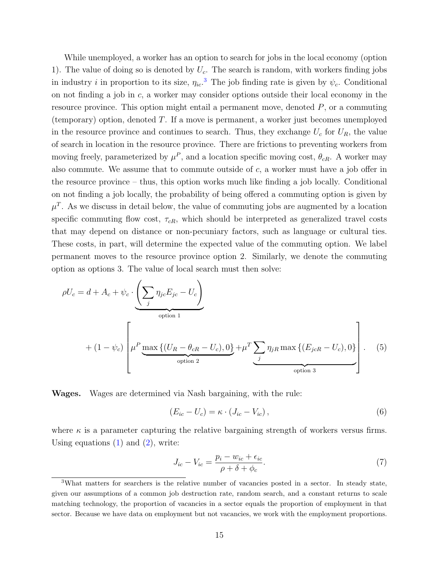While unemployed, a worker has an option to search for jobs in the local economy (option 1). The value of doing so is denoted by  $U_c$ . The search is random, with workers finding jobs in industry *i* in proportion to its size,  $\eta_{ic}$ <sup>[3](#page-15-0)</sup>. The job finding rate is given by  $\psi_c$ . Conditional on not finding a job in c, a worker may consider options outside their local economy in the resource province. This option might entail a permanent move, denoted  $P$ , or a commuting (temporary) option, denoted  $T$ . If a move is permanent, a worker just becomes unemployed in the resource province and continues to search. Thus, they exchange  $U_c$  for  $U_R$ , the value of search in location in the resource province. There are frictions to preventing workers from moving freely, parameterized by  $\mu^P$ , and a location specific moving cost,  $\theta_{cR}$ . A worker may also commute. We assume that to commute outside of c, a worker must have a job offer in the resource province – thus, this option works much like finding a job locally. Conditional on not finding a job locally, the probability of being offered a commuting option is given by  $\mu^T$ . As we discuss in detail below, the value of commuting jobs are augmented by a location specific commuting flow cost,  $\tau_{cR}$ , which should be interpreted as generalized travel costs that may depend on distance or non-pecuniary factors, such as language or cultural ties. These costs, in part, will determine the expected value of the commuting option. We label permanent moves to the resource province option 2. Similarly, we denote the commuting option as options 3. The value of local search must then solve:

$$
\rho U_c = d + A_c + \psi_c \cdot \underbrace{\left(\sum_j \eta_{jc} E_{jc} - U_c\right)}_{\text{option 1}}
$$
  
+ 
$$
(1 - \psi_c) \left[\mu^P \underbrace{\max\left\{(U_R - \theta_{cR} - U_c), 0\right\}}_{\text{option 2}} + \mu^T \underbrace{\sum_j \eta_{jR} \max\left\{(E_{jcR} - U_c), 0\right\}}_{\text{option 3}}\right].
$$
 (5)

Wages. Wages are determined via Nash bargaining, with the rule:

<span id="page-15-1"></span>
$$
(E_{ic} - U_c) = \kappa \cdot (J_{ic} - V_{ic}), \qquad (6)
$$

where  $\kappa$  is a parameter capturing the relative bargaining strength of workers versus firms. Using equations  $(1)$  and  $(2)$ , write:

$$
J_{ic} - V_{ic} = \frac{p_i - w_{ic} + \epsilon_{ic}}{\rho + \delta + \phi_c}.\tag{7}
$$

<span id="page-15-0"></span><sup>3</sup>What matters for searchers is the relative number of vacancies posted in a sector. In steady state, given our assumptions of a common job destruction rate, random search, and a constant returns to scale matching technology, the proportion of vacancies in a sector equals the proportion of employment in that sector. Because we have data on employment but not vacancies, we work with the employment proportions.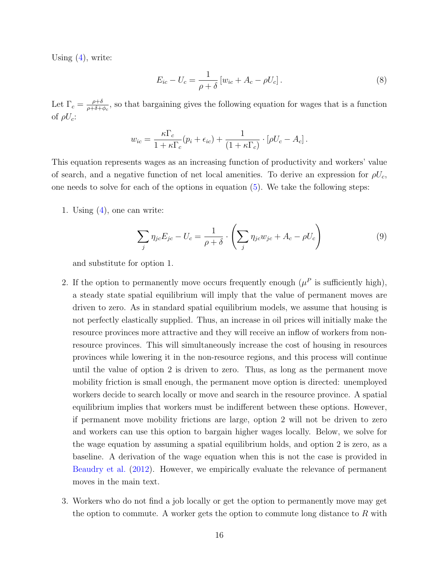Using  $(4)$ , write:

$$
E_{ic} - U_c = \frac{1}{\rho + \delta} \left[ w_{ic} + A_c - \rho U_c \right]. \tag{8}
$$

Let  $\Gamma_c = \frac{\rho + \delta}{\rho + \delta + \delta}$  $\frac{\rho+\delta}{\rho+\delta+\phi_c}$ , so that bargaining gives the following equation for wages that is a function of  $\rho U_c$ :

$$
w_{ic} = \frac{\kappa \Gamma_c}{1 + \kappa \Gamma_c} (p_i + \epsilon_{ic}) + \frac{1}{(1 + \kappa \Gamma_c)} \cdot [\rho U_c - A_c].
$$

This equation represents wages as an increasing function of productivity and workers' value of search, and a negative function of net local amenities. To derive an expression for  $\rho U_c$ , one needs to solve for each of the options in equation  $(5)$ . We take the following steps:

1. Using  $(4)$ , one can write:

$$
\sum_{j} \eta_{jc} E_{jc} - U_c = \frac{1}{\rho + \delta} \cdot \left( \sum_{j} \eta_{jc} w_{jc} + A_c - \rho U_c \right)
$$
(9)

and substitute for option 1.

- 2. If the option to permanently move occurs frequently enough  $(\mu^P)$  is sufficiently high), a steady state spatial equilibrium will imply that the value of permanent moves are driven to zero. As in standard spatial equilibrium models, we assume that housing is not perfectly elastically supplied. Thus, an increase in oil prices will initially make the resource provinces more attractive and they will receive an inflow of workers from nonresource provinces. This will simultaneously increase the cost of housing in resources provinces while lowering it in the non-resource regions, and this process will continue until the value of option 2 is driven to zero. Thus, as long as the permanent move mobility friction is small enough, the permanent move option is directed: unemployed workers decide to search locally or move and search in the resource province. A spatial equilibrium implies that workers must be indifferent between these options. However, if permanent move mobility frictions are large, option 2 will not be driven to zero and workers can use this option to bargain higher wages locally. Below, we solve for the wage equation by assuming a spatial equilibrium holds, and option 2 is zero, as a baseline. A derivation of the wage equation when this is not the case is provided in [Beaudry et al.](#page-27-0) [\(2012\)](#page-27-0). However, we empirically evaluate the relevance of permanent moves in the main text.
- 3. Workers who do not find a job locally or get the option to permanently move may get the option to commute. A worker gets the option to commute long distance to  $R$  with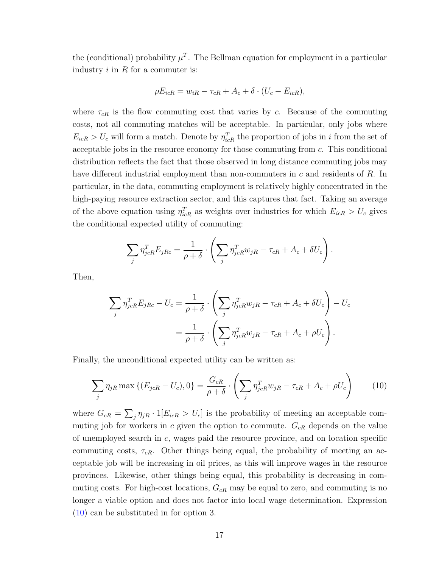the (conditional) probability  $\mu^T$ . The Bellman equation for employment in a particular industry  $i$  in  $R$  for a commuter is:

$$
\rho E_{icR} = w_{iR} - \tau_{cR} + A_c + \delta \cdot (U_c - E_{icR}),
$$

where  $\tau_{cR}$  is the flow commuting cost that varies by c. Because of the commuting costs, not all commuting matches will be acceptable. In particular, only jobs where  $E_{icR} > U_c$  will form a match. Denote by  $\eta_{icR}^T$  the proportion of jobs in i from the set of acceptable jobs in the resource economy for those commuting from c. This conditional distribution reflects the fact that those observed in long distance commuting jobs may have different industrial employment than non-commuters in c and residents of R. In particular, in the data, commuting employment is relatively highly concentrated in the high-paying resource extraction sector, and this captures that fact. Taking an average of the above equation using  $\eta_{icR}^T$  as weights over industries for which  $E_{icR} > U_c$  gives the conditional expected utility of commuting:

$$
\sum_{j} \eta_{jcR}^T E_{jRc} = \frac{1}{\rho + \delta} \cdot \left( \sum_{j} \eta_{jcR}^T w_{jR} - \tau_{cR} + A_c + \delta U_c \right).
$$

Then,

<span id="page-17-0"></span>
$$
\sum_{j} \eta_{jcR}^{T} E_{jRc} - U_c = \frac{1}{\rho + \delta} \cdot \left( \sum_{j} \eta_{jcR}^{T} w_{jR} - \tau_{cR} + A_c + \delta U_c \right) - U_c
$$

$$
= \frac{1}{\rho + \delta} \cdot \left( \sum_{j} \eta_{jcR}^{T} w_{jR} - \tau_{cR} + A_c + \rho U_c \right).
$$

Finally, the unconditional expected utility can be written as:

$$
\sum_{j} \eta_{jR} \max \left\{ (E_{jcR} - U_c), 0 \right\} = \frac{G_{cR}}{\rho + \delta} \cdot \left( \sum_{j} \eta_{jcR}^T w_{jR} - \tau_{cR} + A_c + \rho U_c \right) \tag{10}
$$

where  $G_{cR} = \sum_{j} \eta_{jR} \cdot 1[E_{icR} > U_c]$  is the probability of meeting an acceptable commuting job for workers in c given the option to commute.  $G_{cR}$  depends on the value of unemployed search in c, wages paid the resource province, and on location specific commuting costs,  $\tau_{cR}$ . Other things being equal, the probability of meeting an acceptable job will be increasing in oil prices, as this will improve wages in the resource provinces. Likewise, other things being equal, this probability is decreasing in commuting costs. For high-cost locations,  $G_{cR}$  may be equal to zero, and commuting is no longer a viable option and does not factor into local wage determination. Expression [\(10\)](#page-17-0) can be substituted in for option 3.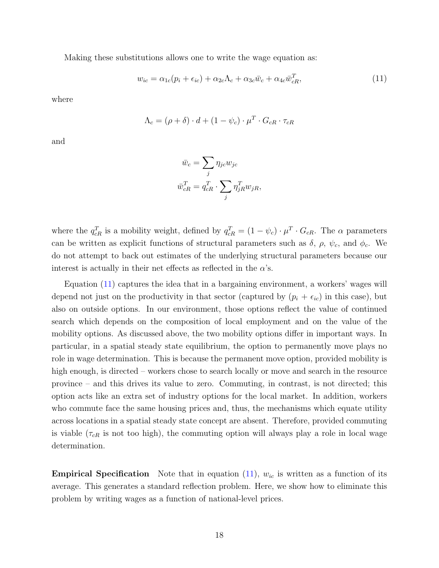Making these substitutions allows one to write the wage equation as:

$$
w_{ic} = \alpha_{1c}(p_i + \epsilon_{ic}) + \alpha_{2c}\Lambda_c + \alpha_{3c}\bar{w}_c + \alpha_{4c}\bar{w}_{cR}^T,
$$
\n(11)

where

$$
\Lambda_c = (\rho + \delta) \cdot d + (1 - \psi_c) \cdot \mu^T \cdot G_{cR} \cdot \tau_{cR}
$$

and

<span id="page-18-0"></span>
$$
\bar{w}_c = \sum_j \eta_{jc} w_{jc}
$$

$$
\bar{w}_{cR}^T = q_{cR}^T \cdot \sum_j \eta_{jR}^T w_{jR},
$$

where the  $q_{cR}^T$  is a mobility weight, defined by  $q_{cR}^T = (1 - \psi_c) \cdot \mu^T \cdot G_{cR}$ . The  $\alpha$  parameters can be written as explicit functions of structural parameters such as  $\delta$ ,  $\rho$ ,  $\psi_c$ , and  $\phi_c$ . We do not attempt to back out estimates of the underlying structural parameters because our interest is actually in their net effects as reflected in the  $\alpha$ 's.

Equation [\(11\)](#page-18-0) captures the idea that in a bargaining environment, a workers' wages will depend not just on the productivity in that sector (captured by  $(p_i + \epsilon_{ic})$  in this case), but also on outside options. In our environment, those options reflect the value of continued search which depends on the composition of local employment and on the value of the mobility options. As discussed above, the two mobility options differ in important ways. In particular, in a spatial steady state equilibrium, the option to permanently move plays no role in wage determination. This is because the permanent move option, provided mobility is high enough, is directed – workers chose to search locally or move and search in the resource province – and this drives its value to zero. Commuting, in contrast, is not directed; this option acts like an extra set of industry options for the local market. In addition, workers who commute face the same housing prices and, thus, the mechanisms which equate utility across locations in a spatial steady state concept are absent. Therefore, provided commuting is viable  $(\tau_{cR}$  is not too high), the commuting option will always play a role in local wage determination.

**Empirical Specification** Note that in equation  $(11)$ ,  $w_{ic}$  is written as a function of its average. This generates a standard reflection problem. Here, we show how to eliminate this problem by writing wages as a function of national-level prices.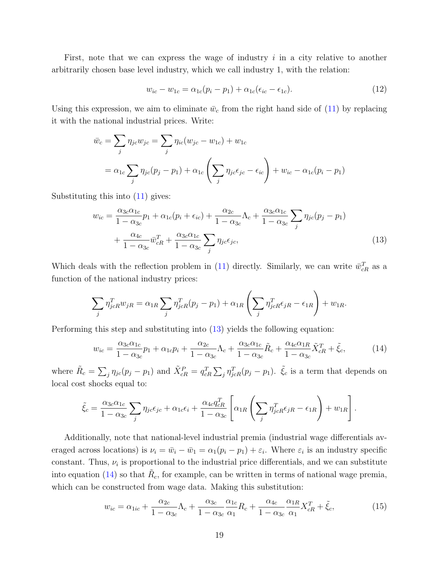First, note that we can express the wage of industry  $i$  in a city relative to another arbitrarily chosen base level industry, which we call industry 1, with the relation:

<span id="page-19-0"></span>
$$
w_{ic} - w_{1c} = \alpha_{1c}(p_i - p_1) + \alpha_{1c}(\epsilon_{ic} - \epsilon_{1c}).
$$
\n(12)

Using this expression, we aim to eliminate  $\bar{w}_c$  from the right hand side of [\(11\)](#page-18-0) by replacing it with the national industrial prices. Write:

$$
\bar{w}_c = \sum_j \eta_{jc} w_{jc} = \sum_j \eta_{ic} (w_{jc} - w_{1c}) + w_{1c}
$$
  
=  $\alpha_{1c} \sum_j \eta_{jc} (p_j - p_1) + \alpha_{1c} \left( \sum_j \eta_{jc} \epsilon_{jc} - \epsilon_{ic} \right) + w_{ic} - \alpha_{1c} (p_i - p_1)$ 

Substituting this into [\(11\)](#page-18-0) gives:

$$
w_{ic} = \frac{\alpha_{3c}\alpha_{1c}}{1 - \alpha_{3c}}p_1 + \alpha_{1c}(p_i + \epsilon_{ic}) + \frac{\alpha_{2c}}{1 - \alpha_{3c}}\Lambda_c + \frac{\alpha_{3c}\alpha_{1c}}{1 - \alpha_{3c}}\sum_j \eta_{jc}(p_j - p_1) + \frac{\alpha_{4c}}{1 - \alpha_{3c}}\bar{w}_{cR}^T + \frac{\alpha_{3c}\alpha_{1c}}{1 - \alpha_{3c}}\sum_j \eta_{jc}\epsilon_{jc},
$$
\n(13)

Which deals with the reflection problem in [\(11\)](#page-18-0) directly. Similarly, we can write  $\bar{w}_{cR}^T$  as a function of the national industry prices:

$$
\sum_{j} \eta_{j c R}^T w_{j R} = \alpha_{1 R} \sum_{j} \eta_{j c R}^T (p_j - p_1) + \alpha_{1 R} \left( \sum_{j} \eta_{j c R}^T \epsilon_{j R} - \epsilon_{1 R} \right) + w_{1 R}.
$$

Performing this step and substituting into [\(13\)](#page-19-0) yields the following equation:

<span id="page-19-1"></span>
$$
w_{ic} = \frac{\alpha_{3c}\alpha_{1c}}{1 - \alpha_{3c}}p_1 + \alpha_{1c}p_i + \frac{\alpha_{2c}}{1 - \alpha_{3c}}\Lambda_c + \frac{\alpha_{3c}\alpha_{1c}}{1 - \alpha_{3c}}\tilde{R}_c + \frac{\alpha_{4c}\alpha_{1R}}{1 - \alpha_{3c}}\tilde{X}_{cR}^T + \tilde{\xi}_c, \tag{14}
$$

where  $\tilde{R}_c = \sum_j \eta_{jc}(p_j - p_1)$  and  $\tilde{X}_{cR}^P = q_{cR}^T \sum_j \eta_{jcR}^T (p_j - p_1)$ .  $\tilde{\xi}_c$  is a term that depends on local cost shocks equal to:

$$
\tilde{\xi}_c = \frac{\alpha_{3c}\alpha_{1c}}{1 - \alpha_{3c}} \sum_j \eta_{jc}\epsilon_{jc} + \alpha_{1c}\epsilon_i + \frac{\alpha_{4c}q_{cR}^T}{1 - \alpha_{3c}} \left[ \alpha_{1R} \left( \sum_j \eta_{jcR}^T \epsilon_{jR} - \epsilon_{1R} \right) + w_{1R} \right].
$$

Additionally, note that national-level industrial premia (industrial wage differentials averaged across locations) is  $\nu_i = \bar{w}_i - \bar{w}_1 = \alpha_1(p_i - p_1) + \varepsilon_i$ . Where  $\varepsilon_i$  is an industry specific constant. Thus,  $\nu_i$  is proportional to the industrial price differentials, and we can substitute into equation [\(14\)](#page-19-1) so that  $\tilde{R}_c$ , for example, can be written in terms of national wage premia, which can be constructed from wage data. Making this substitution:

$$
w_{ic} = \alpha_{1ic} + \frac{\alpha_{2c}}{1 - \alpha_{3c}} \Lambda_c + \frac{\alpha_{3c}}{1 - \alpha_{3c}} \frac{\alpha_{1c}}{\alpha_1} R_c + \frac{\alpha_{4c}}{1 - \alpha_{3c}} \frac{\alpha_{1R}}{\alpha_1} X_{cR}^T + \tilde{\xi}_c, \tag{15}
$$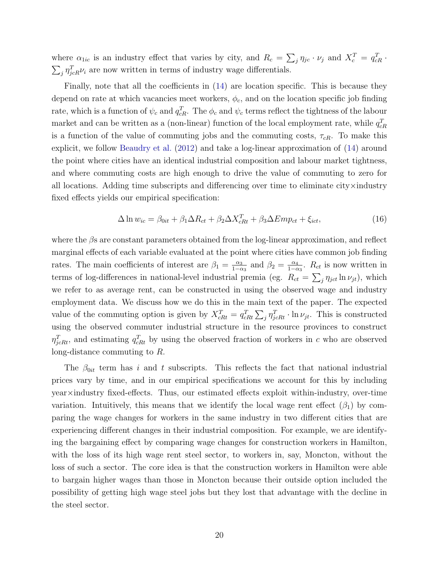where  $\alpha_{1ic}$  is an industry effect that varies by city, and  $R_c = \sum_j \eta_{jc} \cdot \nu_j$  and  $X_c^T = q_{cR}^T \cdot$  $\sum_{j} \eta_{j c R}^T \nu_i$  are now written in terms of industry wage differentials.

Finally, note that all the coefficients in [\(14\)](#page-19-1) are location specific. This is because they depend on rate at which vacancies meet workers,  $\phi_c$ , and on the location specific job finding rate, which is a function of  $\psi_c$  and  $q_{cR}^T$ . The  $\phi_c$  and  $\psi_c$  terms reflect the tightness of the labour market and can be written as a (non-linear) function of the local employment rate, while  $q_{cR}^T$ is a function of the value of commuting jobs and the commuting costs,  $\tau_{cR}$ . To make this explicit, we follow [Beaudry et al.](#page-27-0) [\(2012\)](#page-27-0) and take a log-linear approximation of [\(14\)](#page-19-1) around the point where cities have an identical industrial composition and labour market tightness, and where commuting costs are high enough to drive the value of commuting to zero for all locations. Adding time subscripts and differencing over time to eliminate city $\times$ industry fixed effects yields our empirical specification:

<span id="page-20-0"></span>
$$
\Delta \ln w_{ic} = \beta_{0it} + \beta_1 \Delta R_{ct} + \beta_2 \Delta X_{cRt}^T + \beta_3 \Delta Emp_{ct} + \xi_{ict},\tag{16}
$$

where the  $\beta$ s are constant parameters obtained from the log-linear approximation, and reflect marginal effects of each variable evaluated at the point where cities have common job finding rates. The main coefficients of interest are  $\beta_1 = \frac{\alpha_3}{1-\alpha_3}$  $\frac{\alpha_3}{1-\alpha_3}$  and  $\beta_2 = \frac{\alpha_4}{1-\alpha_3}$  $\frac{\alpha_4}{1-\alpha_3}$ .  $R_{ct}$  is now written in terms of log-differences in national-level industrial premia (eg.  $R_{ct} = \sum_{j} \eta_{jet} \ln \nu_{jt}$ ), which we refer to as average rent, can be constructed in using the observed wage and industry employment data. We discuss how we do this in the main text of the paper. The expected value of the commuting option is given by  $X_{cRt}^T = q_{cRt}^T \sum_j \eta_{jcRt}^T \cdot \ln \nu_{jt}$ . This is constructed using the observed commuter industrial structure in the resource provinces to construct  $\eta_{jcRt}^T$ , and estimating  $q_{cRt}^T$  by using the observed fraction of workers in c who are observed long-distance commuting to R.

The  $\beta_{0it}$  term has i and t subscripts. This reflects the fact that national industrial prices vary by time, and in our empirical specifications we account for this by including year×industry fixed-effects. Thus, our estimated effects exploit within-industry, over-time variation. Intuitively, this means that we identify the local wage rent effect  $(\beta_1)$  by comparing the wage changes for workers in the same industry in two different cities that are experiencing different changes in their industrial composition. For example, we are identifying the bargaining effect by comparing wage changes for construction workers in Hamilton, with the loss of its high wage rent steel sector, to workers in, say, Moncton, without the loss of such a sector. The core idea is that the construction workers in Hamilton were able to bargain higher wages than those in Moncton because their outside option included the possibility of getting high wage steel jobs but they lost that advantage with the decline in the steel sector.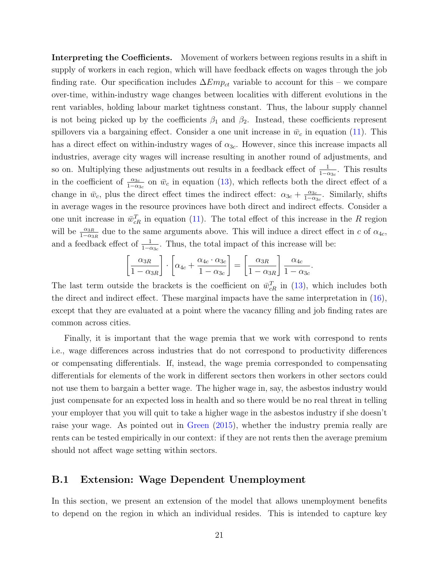Interpreting the Coefficients. Movement of workers between regions results in a shift in supply of workers in each region, which will have feedback effects on wages through the job finding rate. Our specification includes  $\Delta Emp_{ct}$  variable to account for this – we compare over-time, within-industry wage changes between localities with different evolutions in the rent variables, holding labour market tightness constant. Thus, the labour supply channel is not being picked up by the coefficients  $\beta_1$  and  $\beta_2$ . Instead, these coefficients represent spillovers via a bargaining effect. Consider a one unit increase in  $\bar{w}_c$  in equation [\(11\)](#page-18-0). This has a direct effect on within-industry wages of  $\alpha_{3c}$ . However, since this increase impacts all industries, average city wages will increase resulting in another round of adjustments, and so on. Multiplying these adjustments out results in a feedback effect of  $\frac{1}{1-\alpha_{3c}}$ . This results in the coefficient of  $\frac{\alpha_{3c}}{1-\alpha_{3c}}$  on  $\bar{w}_c$  in equation [\(13\)](#page-19-0), which reflects both the direct effect of a change in  $\bar{w}_c$ , plus the direct effect times the indirect effect:  $\alpha_{3c} + \frac{\alpha_{3c}}{1-\alpha_{3c}}$  $rac{\alpha_{3c}}{1-\alpha_{3c}}$ . Similarly, shifts in average wages in the resource provinces have both direct and indirect effects. Consider a one unit increase in  $\bar{w}_{cR}^T$  in equation [\(11\)](#page-18-0). The total effect of this increase in the R region will be  $\frac{\alpha_{3R}}{1-\alpha_{3R}}$  due to the same arguments above. This will induce a direct effect in c of  $\alpha_{4c}$ , and a feedback effect of  $\frac{1}{1-\alpha_{3c}}$ . Thus, the total impact of this increase will be:

$$
\left[\frac{\alpha_{3R}}{1-\alpha_{3R}}\right] \cdot \left[\alpha_{4c} + \frac{\alpha_{4c} \cdot \alpha_{3c}}{1-\alpha_{3c}}\right] = \left[\frac{\alpha_{3R}}{1-\alpha_{3R}}\right] \frac{\alpha_{4c}}{1-\alpha_{3c}}.
$$

The last term outside the brackets is the coefficient on  $\bar{w}_{cR}^T$  in [\(13\)](#page-19-0), which includes both the direct and indirect effect. These marginal impacts have the same interpretation in [\(16\)](#page-20-0), except that they are evaluated at a point where the vacancy filling and job finding rates are common across cities.

Finally, it is important that the wage premia that we work with correspond to rents i.e., wage differences across industries that do not correspond to productivity differences or compensating differentials. If, instead, the wage premia corresponded to compensating differentials for elements of the work in different sectors then workers in other sectors could not use them to bargain a better wage. The higher wage in, say, the asbestos industry would just compensate for an expected loss in health and so there would be no real threat in telling your employer that you will quit to take a higher wage in the asbestos industry if she doesn't raise your wage. As pointed out in [Green](#page-29-3) [\(2015\)](#page-29-3), whether the industry premia really are rents can be tested empirically in our context: if they are not rents then the average premium should not affect wage setting within sectors.

#### B.1 Extension: Wage Dependent Unemployment

In this section, we present an extension of the model that allows unemployment benefits to depend on the region in which an individual resides. This is intended to capture key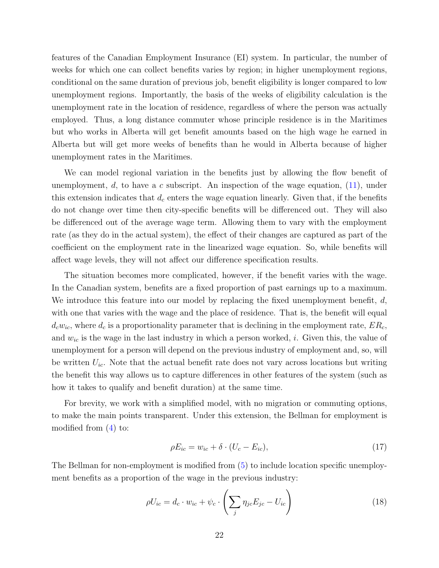features of the Canadian Employment Insurance (EI) system. In particular, the number of weeks for which one can collect benefits varies by region; in higher unemployment regions, conditional on the same duration of previous job, benefit eligibility is longer compared to low unemployment regions. Importantly, the basis of the weeks of eligibility calculation is the unemployment rate in the location of residence, regardless of where the person was actually employed. Thus, a long distance commuter whose principle residence is in the Maritimes but who works in Alberta will get benefit amounts based on the high wage he earned in Alberta but will get more weeks of benefits than he would in Alberta because of higher unemployment rates in the Maritimes.

We can model regional variation in the benefits just by allowing the flow benefit of unemployment,  $d$ , to have a c subscript. An inspection of the wage equation,  $(11)$ , under this extension indicates that  $d_c$  enters the wage equation linearly. Given that, if the benefits do not change over time then city-specific benefits will be differenced out. They will also be differenced out of the average wage term. Allowing them to vary with the employment rate (as they do in the actual system), the effect of their changes are captured as part of the coefficient on the employment rate in the linearized wage equation. So, while benefits will affect wage levels, they will not affect our difference specification results.

The situation becomes more complicated, however, if the benefit varies with the wage. In the Canadian system, benefits are a fixed proportion of past earnings up to a maximum. We introduce this feature into our model by replacing the fixed unemployment benefit,  $d$ , with one that varies with the wage and the place of residence. That is, the benefit will equal  $d_cw_{ic}$ , where  $d_c$  is a proportionality parameter that is declining in the employment rate,  $ER_c$ , and  $w_{ic}$  is the wage in the last industry in which a person worked, i. Given this, the value of unemployment for a person will depend on the previous industry of employment and, so, will be written  $U_{ic}$ . Note that the actual benefit rate does not vary across locations but writing the benefit this way allows us to capture differences in other features of the system (such as how it takes to qualify and benefit duration) at the same time.

For brevity, we work with a simplified model, with no migration or commuting options, to make the main points transparent. Under this extension, the Bellman for employment is modified from [\(4\)](#page-14-2) to:

$$
\rho E_{ic} = w_{ic} + \delta \cdot (U_c - E_{ic}),\tag{17}
$$

The Bellman for non-employment is modified from [\(5\)](#page-15-1) to include location specific unemployment benefits as a proportion of the wage in the previous industry:

$$
\rho U_{ic} = d_c \cdot w_{ic} + \psi_c \cdot \left(\sum_j \eta_{jc} E_{jc} - U_{ic}\right) \tag{18}
$$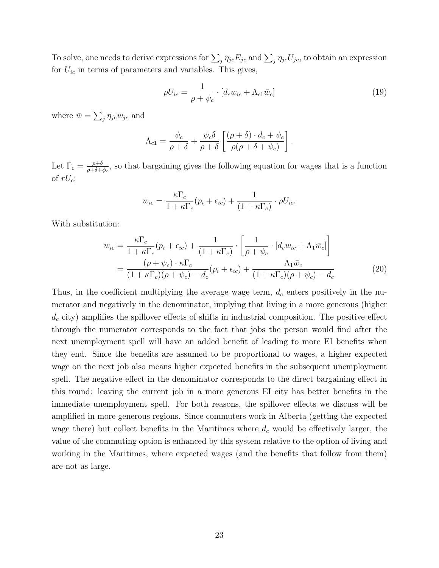To solve, one needs to derive expressions for  $\sum_j \eta_{jc} E_{jc}$  and  $\sum_j \eta_{jc} U_{jc}$ , to obtain an expression for  $U_{ic}$  in terms of parameters and variables. This gives,

$$
\rho U_{ic} = \frac{1}{\rho + \psi_c} \cdot [d_c w_{ic} + \Lambda_{c1} \bar{w}_c]
$$
\n(19)

where  $\bar{w} = \sum_{j} \eta_{jc} w_{jc}$  and

$$
\Lambda_{c1} = \frac{\psi_c}{\rho + \delta} + \frac{\psi_c \delta}{\rho + \delta} \left[ \frac{(\rho + \delta) \cdot d_c + \psi_c}{\rho (\rho + \delta + \psi_c)} \right].
$$

Let  $\Gamma_c = \frac{\rho + \delta}{\rho + \delta + \delta}$  $\frac{\rho+\delta}{\rho+\delta+\phi_c}$ , so that bargaining gives the following equation for wages that is a function of  $rU_c$ :

$$
w_{ic} = \frac{\kappa \Gamma_c}{1 + \kappa \Gamma_c} (p_i + \epsilon_{ic}) + \frac{1}{(1 + \kappa \Gamma_c)} \cdot \rho U_{ic}.
$$

With substitution:

$$
w_{ic} = \frac{\kappa \Gamma_c}{1 + \kappa \Gamma_c} (p_i + \epsilon_{ic}) + \frac{1}{(1 + \kappa \Gamma_c)} \cdot \left[ \frac{1}{\rho + \psi_c} \cdot [d_c w_{ic} + \Lambda_1 \bar{w}_c] \right]
$$
  
= 
$$
\frac{(\rho + \psi_c) \cdot \kappa \Gamma_c}{(1 + \kappa \Gamma_c)(\rho + \psi_c) - d_c} (p_i + \epsilon_{ic}) + \frac{\Lambda_1 \bar{w}_c}{(1 + \kappa \Gamma_c)(\rho + \psi_c) - d_c}
$$
(20)

Thus, in the coefficient multiplying the average wage term,  $d_c$  enters positively in the numerator and negatively in the denominator, implying that living in a more generous (higher  $d_c$  city) amplifies the spillover effects of shifts in industrial composition. The positive effect through the numerator corresponds to the fact that jobs the person would find after the next unemployment spell will have an added benefit of leading to more EI benefits when they end. Since the benefits are assumed to be proportional to wages, a higher expected wage on the next job also means higher expected benefits in the subsequent unemployment spell. The negative effect in the denominator corresponds to the direct bargaining effect in this round: leaving the current job in a more generous EI city has better benefits in the immediate unemployment spell. For both reasons, the spillover effects we discuss will be amplified in more generous regions. Since commuters work in Alberta (getting the expected wage there) but collect benefits in the Maritimes where  $d_c$  would be effectively larger, the value of the commuting option is enhanced by this system relative to the option of living and working in the Maritimes, where expected wages (and the benefits that follow from them) are not as large.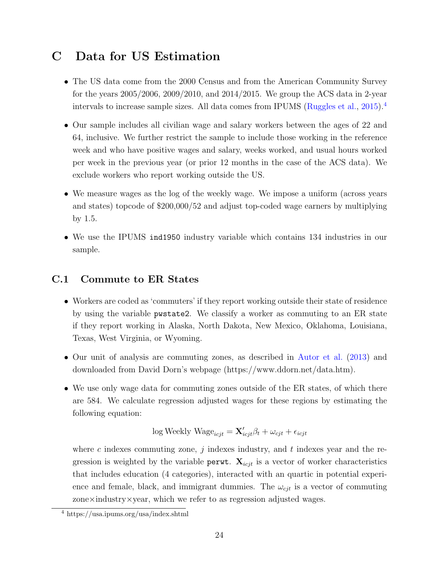### C Data for US Estimation

- The US data come from the 2000 Census and from the American Community Survey for the years 2005/2006, 2009/2010, and 2014/2015. We group the ACS data in 2-year intervals to increase sample sizes. All data comes from IPUMS [\(Ruggles et al.,](#page-29-4) [2015\)](#page-29-4).<sup>[4](#page-24-0)</sup>
- Our sample includes all civilian wage and salary workers between the ages of 22 and 64, inclusive. We further restrict the sample to include those working in the reference week and who have positive wages and salary, weeks worked, and usual hours worked per week in the previous year (or prior 12 months in the case of the ACS data). We exclude workers who report working outside the US.
- We measure wages as the log of the weekly wage. We impose a uniform (across years and states) topcode of \$200,000/52 and adjust top-coded wage earners by multiplying by 1.5.
- We use the IPUMS ind1950 industry variable which contains 134 industries in our sample.

### C.1 Commute to ER States

- Workers are coded as 'commuters' if they report working outside their state of residence by using the variable pwstate2. We classify a worker as commuting to an ER state if they report working in Alaska, North Dakota, New Mexico, Oklahoma, Louisiana, Texas, West Virginia, or Wyoming.
- Our unit of analysis are commuting zones, as described in [Autor et al.](#page-27-1) [\(2013\)](#page-27-1) and downloaded from David Dorn's webpage (https://www.ddorn.net/data.htm).
- We use only wage data for commuting zones outside of the ER states, of which there are 584. We calculate regression adjusted wages for these regions by estimating the following equation:

$$
\log \text{Weakly Wage}_{icjt} = \mathbf{X}'_{icjt} \beta_t + \omega_{cjt} + \epsilon_{icjt}
$$

where c indexes commuting zone,  $j$  indexes industry, and  $t$  indexes year and the regression is weighted by the variable perwt.  $\mathbf{X}_{icjt}$  is a vector of worker characteristics that includes education (4 categories), interacted with an quartic in potential experience and female, black, and immigrant dummies. The  $\omega_{cjt}$  is a vector of commuting zone $\times$ industry $\times$ year, which we refer to as regression adjusted wages.

<span id="page-24-0"></span><sup>4</sup> https://usa.ipums.org/usa/index.shtml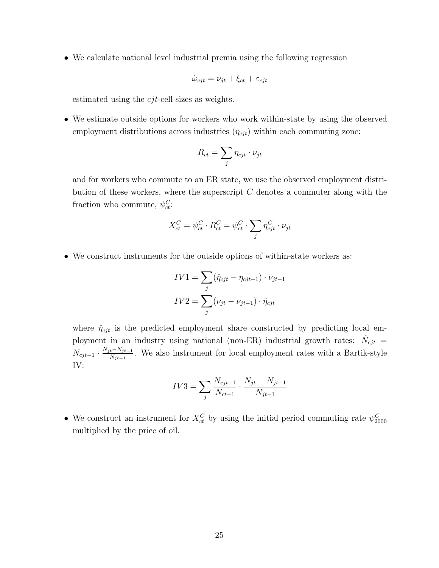• We calculate national level industrial premia using the following regression

$$
\hat{\omega}_{cjt} = \nu_{jt} + \xi_{ct} + \varepsilon_{cjt}
$$

estimated using the cjt-cell sizes as weights.

• We estimate outside options for workers who work within-state by using the observed employment distributions across industries  $(\eta_{cjt})$  within each commuting zone:

$$
R_{ct} = \sum_{j} \eta_{cjt} \cdot \nu_{jt}
$$

and for workers who commute to an ER state, we use the observed employment distribution of these workers, where the superscript  $C$  denotes a commuter along with the fraction who commute,  $\psi_c^C$ :

$$
X_{ct}^C = \psi_{ct}^C \cdot R_{ct}^C = \psi_{ct}^C \cdot \sum_j \eta_{cjt}^C \cdot \nu_{jt}
$$

• We construct instruments for the outside options of within-state workers as:

$$
IV1 = \sum_{j} (\hat{\eta}_{cjt} - \eta_{cjt-1}) \cdot \nu_{jt-1}
$$

$$
IV2 = \sum_{j} (\nu_{jt} - \nu_{jt-1}) \cdot \hat{\eta}_{cjt}
$$

where  $\hat{\eta}_{cjt}$  is the predicted employment share constructed by predicting local employment in an industry using national (non-ER) industrial growth rates:  $\hat{N}_{cjt}$  =  $N_{cjt-1} \cdot \frac{N_{jt}-N_{jt-1}}{N_{jt-1}}$  $\frac{t^{-N}j_{t-1}}{N_{jt-1}}$ . We also instrument for local employment rates with a Bartik-style IV:

$$
IV3 = \sum_{j} \frac{N_{cjt-1}}{N_{ct-1}} \cdot \frac{N_{jt} - N_{jt-1}}{N_{jt-1}}
$$

• We construct an instrument for  $X_{ct}^C$  by using the initial period commuting rate  $\psi_{2000}^C$ multiplied by the price of oil.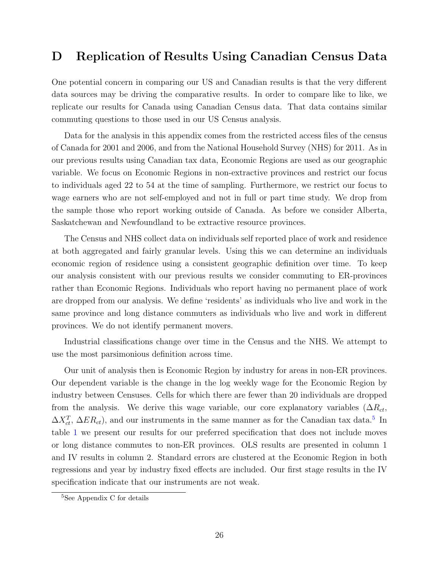### D Replication of Results Using Canadian Census Data

One potential concern in comparing our US and Canadian results is that the very different data sources may be driving the comparative results. In order to compare like to like, we replicate our results for Canada using Canadian Census data. That data contains similar commuting questions to those used in our US Census analysis.

Data for the analysis in this appendix comes from the restricted access files of the census of Canada for 2001 and 2006, and from the National Household Survey (NHS) for 2011. As in our previous results using Canadian tax data, Economic Regions are used as our geographic variable. We focus on Economic Regions in non-extractive provinces and restrict our focus to individuals aged 22 to 54 at the time of sampling. Furthermore, we restrict our focus to wage earners who are not self-employed and not in full or part time study. We drop from the sample those who report working outside of Canada. As before we consider Alberta, Saskatchewan and Newfoundland to be extractive resource provinces.

The Census and NHS collect data on individuals self reported place of work and residence at both aggregated and fairly granular levels. Using this we can determine an individuals economic region of residence using a consistent geographic definition over time. To keep our analysis consistent with our previous results we consider commuting to ER-provinces rather than Economic Regions. Individuals who report having no permanent place of work are dropped from our analysis. We define 'residents' as individuals who live and work in the same province and long distance commuters as individuals who live and work in different provinces. We do not identify permanent movers.

Industrial classifications change over time in the Census and the NHS. We attempt to use the most parsimonious definition across time.

Our unit of analysis then is Economic Region by industry for areas in non-ER provinces. Our dependent variable is the change in the log weekly wage for the Economic Region by industry between Censuses. Cells for which there are fewer than 20 individuals are dropped from the analysis. We derive this wage variable, our core explanatory variables  $(\Delta R_{ct},$  $\Delta X_{ct}^T$ ,  $\Delta ER_{ct}$ ), and our instruments in the same manner as for the Canadian tax data.<sup>[5](#page-26-0)</sup> In table [1](#page-28-0) we present our results for our preferred specification that does not include moves or long distance commutes to non-ER provinces. OLS results are presented in column 1 and IV results in column 2. Standard errors are clustered at the Economic Region in both regressions and year by industry fixed effects are included. Our first stage results in the IV specification indicate that our instruments are not weak.

<span id="page-26-0"></span><sup>5</sup>See Appendix C for details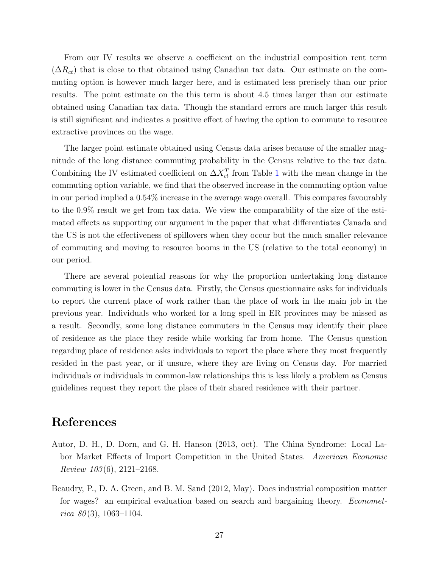From our IV results we observe a coefficient on the industrial composition rent term  $(\Delta R_{ct})$  that is close to that obtained using Canadian tax data. Our estimate on the commuting option is however much larger here, and is estimated less precisely than our prior results. The point estimate on the this term is about 4.5 times larger than our estimate obtained using Canadian tax data. Though the standard errors are much larger this result is still significant and indicates a positive effect of having the option to commute to resource extractive provinces on the wage.

The larger point estimate obtained using Census data arises because of the smaller magnitude of the long distance commuting probability in the Census relative to the tax data. Combining the IV estimated coefficient on  $\Delta X_{ct}^T$  from Table [1](#page-28-0) with the mean change in the commuting option variable, we find that the observed increase in the commuting option value in our period implied a 0.54% increase in the average wage overall. This compares favourably to the 0.9% result we get from tax data. We view the comparability of the size of the estimated effects as supporting our argument in the paper that what differentiates Canada and the US is not the effectiveness of spillovers when they occur but the much smaller relevance of commuting and moving to resource booms in the US (relative to the total economy) in our period.

There are several potential reasons for why the proportion undertaking long distance commuting is lower in the Census data. Firstly, the Census questionnaire asks for individuals to report the current place of work rather than the place of work in the main job in the previous year. Individuals who worked for a long spell in ER provinces may be missed as a result. Secondly, some long distance commuters in the Census may identify their place of residence as the place they reside while working far from home. The Census question regarding place of residence asks individuals to report the place where they most frequently resided in the past year, or if unsure, where they are living on Census day. For married individuals or individuals in common-law relationships this is less likely a problem as Census guidelines request they report the place of their shared residence with their partner.

### References

- <span id="page-27-1"></span>Autor, D. H., D. Dorn, and G. H. Hanson (2013, oct). The China Syndrome: Local Labor Market Effects of Import Competition in the United States. American Economic Review  $103(6)$ , 2121–2168.
- <span id="page-27-0"></span>Beaudry, P., D. A. Green, and B. M. Sand (2012, May). Does industrial composition matter for wages? an empirical evaluation based on search and bargaining theory. Econometrica  $80(3)$ , 1063-1104.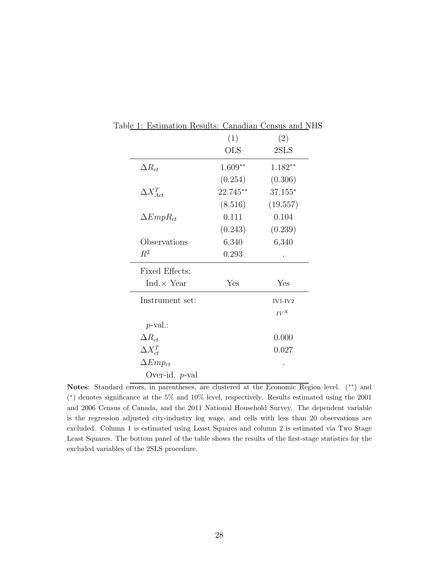<span id="page-28-0"></span>

|                       | (1)        | (2)           |
|-----------------------|------------|---------------|
|                       | <b>OLS</b> | 2SLS          |
| $\Delta R_{ct}$       | $1.609**$  | $1.182**$     |
|                       | (0.254)    | (0.306)       |
| $\Delta X_{Act}^T$    | 22.745**   | $37.155*$     |
|                       | (8.516)    | (19.557)      |
| $\Delta EmpR_{ct}$    | 0.111      | 0.104         |
|                       | (0.243)    | (0.239)       |
| Observations          | 6,340      | 6,340         |
| $R^2$                 | 0.293      |               |
| <b>Fixed Effects:</b> |            |               |
| Ind. $\times$ Year    | Yes        | Yes           |
| Instrument set:       |            | $IV1$ - $IV2$ |
|                       |            | $IV^X$        |
| $p$ -val.:            |            |               |
| $\Delta R_{ct}$       |            | 0.000         |
| $\Delta X_{ct}^T$     |            | 0.027         |
| $\Delta Emp_{ct}$     |            |               |
| Over-id. $p$ -val     |            |               |

Table 1: Estimation Results: Canadian Census and NHS

Notes: Standard errors, in parentheses, are clustered at the Economic Region level. (∗∗) and ( ∗ ) denotes significance at the 5% and 10% level, respectively. Results estimated using the 2001 and 2006 Census of Canada, and the 2011 National Household Survey. The dependent variable is the regression adjusted city-industry log wage, and cells with less than 20 observations are excluded. Column 1 is estimated using Least Squares and column 2 is estimated via Two Stage Least Squares. The bottom panel of the table shows the results of the first-stage statistics for the excluded variables of the 2SLS procedure.